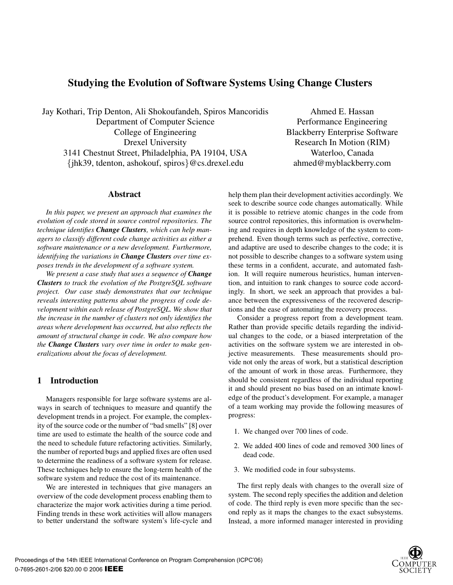# Studying the Evolution of Software Systems Using Change Clusters

Jay Kothari, Trip Denton, Ali Shokoufandeh, Spiros Mancoridis Department of Computer Science College of Engineering Drexel University 3141 Chestnut Street, Philadelphia, PA 19104, USA {jhk39, tdenton, ashokouf, spiros}@cs.drexel.edu

## Abstract

*In this paper, we present an approach that examines the evolution of code stored in source control repositories. The technique identifies Change Clusters, which can help managers to classify different code change activities as either a software maintenance or a new development. Furthermore, identifying the variations in Change Clusters over time exposes trends in the development of a software system.*

*We present a case study that uses a sequence of Change Clusters to track the evolution of the PostgreSQL software project. Our case study demonstrates that our technique reveals interesting patterns about the progress of code development within each release of PostgreSQL. We show that the increase in the number of clusters not only identifies the areas where development has occurred, but also reflects the amount of structural change in code. We also compare how the Change Clusters vary over time in order to make generalizations about the focus of development.*

# 1 Introduction

Managers responsible for large software systems are always in search of techniques to measure and quantify the development trends in a project. For example, the complexity of the source code or the number of "bad smells" [8] over time are used to estimate the health of the source code and the need to schedule future refactoring activities. Similarly, the number of reported bugs and applied fixes are often used to determine the readiness of a software system for release. These techniques help to ensure the long-term health of the software system and reduce the cost of its maintenance.

We are interested in techniques that give managers an overview of the code development process enabling them to characterize the major work activities during a time period. Finding trends in these work activities will allow managers to better understand the software system's life-cycle and

Ahmed E. Hassan Performance Engineering Blackberry Enterprise Software Research In Motion (RIM) Waterloo, Canada ahmed@myblackberry.com

help them plan their development activities accordingly. We seek to describe source code changes automatically. While it is possible to retrieve atomic changes in the code from source control repositories, this information is overwhelming and requires in depth knowledge of the system to comprehend. Even though terms such as perfective, corrective, and adaptive are used to describe changes to the code; it is not possible to describe changes to a software system using these terms in a confident, accurate, and automated fashion. It will require numerous heuristics, human intervention, and intuition to rank changes to source code accordingly. In short, we seek an approach that provides a balance between the expressiveness of the recovered descriptions and the ease of automating the recovery process.

Consider a progress report from a development team. Rather than provide specific details regarding the individual changes to the code, or a biased interpretation of the activities on the software system we are interested in objective measurements. These measurements should provide not only the areas of work, but a statistical description of the amount of work in those areas. Furthermore, they should be consistent regardless of the individual reporting it and should present no bias based on an intimate knowledge of the product's development. For example, a manager of a team working may provide the following measures of progress:

- 1. We changed over 700 lines of code.
- 2. We added 400 lines of code and removed 300 lines of dead code.
- 3. We modified code in four subsystems.

The first reply deals with changes to the overall size of system. The second reply specifies the addition and deletion of code. The third reply is even more specific than the second reply as it maps the changes to the exact subsystems. Instead, a more informed manager interested in providing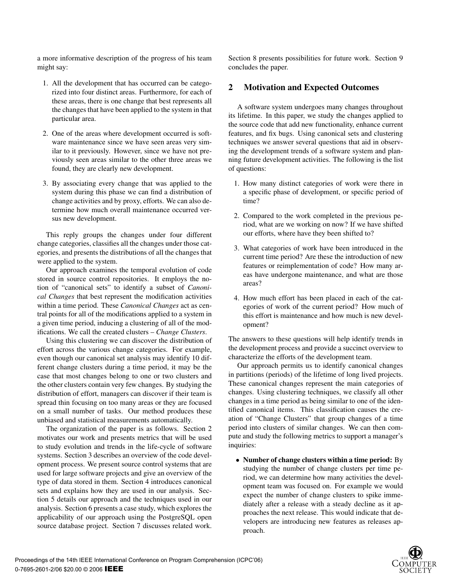a more informative description of the progress of his team might say:

- 1. All the development that has occurred can be categorized into four distinct areas. Furthermore, for each of these areas, there is one change that best represents all the changes that have been applied to the system in that particular area.
- 2. One of the areas where development occurred is software maintenance since we have seen areas very similar to it previously. However, since we have not previously seen areas similar to the other three areas we found, they are clearly new development.
- 3. By associating every change that was applied to the system during this phase we can find a distribution of change activities and by proxy, efforts. We can also determine how much overall maintenance occurred versus new development.

This reply groups the changes under four different change categories, classifies all the changes under those categories, and presents the distributions of all the changes that were applied to the system.

Our approach examines the temporal evolution of code stored in source control repositories. It employs the notion of "canonical sets" to identify a subset of *Canonical Changes* that best represent the modification activities within a time period. These *Canonical Changes* act as central points for all of the modifications applied to a system in a given time period, inducing a clustering of all of the modifications. We call the created clusters – *Change Clusters*.

Using this clustering we can discover the distribution of effort across the various change categories. For example, even though our canonical set analysis may identify 10 different change clusters during a time period, it may be the case that most changes belong to one or two clusters and the other clusters contain very few changes. By studying the distribution of effort, managers can discover if their team is spread thin focusing on too many areas or they are focused on a small number of tasks. Our method produces these unbiased and statistical measurements automatically.

The organization of the paper is as follows. Section 2 motivates our work and presents metrics that will be used to study evolution and trends in the life-cycle of software systems. Section 3 describes an overview of the code development process. We present source control systems that are used for large software projects and give an overview of the type of data stored in them. Section 4 introduces canonical sets and explains how they are used in our analysis. Section 5 details our approach and the techniques used in our analysis. Section 6 presents a case study, which explores the applicability of our approach using the PostgreSQL open source database project. Section 7 discusses related work. Section 8 presents possibilities for future work. Section 9 concludes the paper.

## 2 Motivation and Expected Outcomes

A software system undergoes many changes throughout its lifetime. In this paper, we study the changes applied to the source code that add new functionality, enhance current features, and fix bugs. Using canonical sets and clustering techniques we answer several questions that aid in observing the development trends of a software system and planning future development activities. The following is the list of questions:

- 1. How many distinct categories of work were there in a specific phase of development, or specific period of time?
- 2. Compared to the work completed in the previous period, what are we working on now? If we have shifted our efforts, where have they been shifted to?
- 3. What categories of work have been introduced in the current time period? Are these the introduction of new features or reimplementation of code? How many areas have undergone maintenance, and what are those areas?
- 4. How much effort has been placed in each of the categories of work of the current period? How much of this effort is maintenance and how much is new development?

The answers to these questions will help identify trends in the development process and provide a succinct overview to characterize the efforts of the development team.

Our approach permits us to identify canonical changes in partitions (periods) of the lifetime of long lived projects. These canonical changes represent the main categories of changes. Using clustering techniques, we classify all other changes in a time period as being similar to one of the identified canonical items. This classification causes the creation of "Change Clusters" that group changes of a time period into clusters of similar changes. We can then compute and study the following metrics to support a manager's inquiries:

• Number of change clusters within a time period: By studying the number of change clusters per time period, we can determine how many activities the development team was focused on. For example we would expect the number of change clusters to spike immediately after a release with a steady decline as it approaches the next release. This would indicate that developers are introducing new features as releases approach.

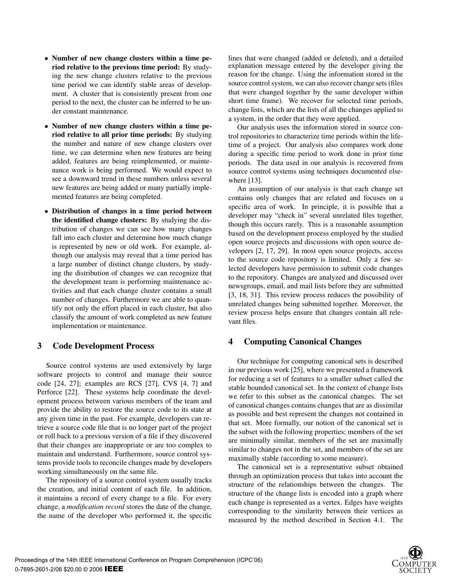- Number of new change clusters within a time period relative to the previous time period: By studying the new change clusters relative to the previous time period we can identify stable areas of development. A cluster that is consistently present from one period to the next, the cluster can be inferred to be under constant maintenance.
- Number of new change clusters within a time period relative to all prior time periods: By studying the number and nature of new change clusters over time, we can determine when new features are being added, features are being reimplemented, or maintenance work is being performed. We would expect to see a downward trend in these numbers unless several new features are being added or many partially implemented features are being completed.
- Distribution of changes in a time period between the identified change clusters: By studying the distribution of changes we can see how many changes fall into each cluster and determine how much change is represented by new or old work. For example, although our analysis may reveal that a time period has a large number of distinct change clusters, by studying the distribution of changes we can recognize that the development team is performing maintenance activities and that each change cluster contains a small number of changes. Furthermore we are able to quantify not only the effort placed in each cluster, but also classify the amount of work completed as new feature implementation or maintenance.

## 3 Code Development Process

Source control systems are used extensively by large software projects to control and manage their source code [24, 27]; examples are RCS [27], CVS [4, 7] and Perforce [22]. These systems help coordinate the development process between various members of the team and provide the ability to restore the source code to its state at any given time in the past. For example, developers can retrieve a source code file that is no longer part of the project or roll back to a previous version of a file if they discovered that their changes are inappropriate or are too complex to maintain and understand. Furthermore, source control systems provide tools to reconcile changes made by developers working simultaneously on the same file.

The repository of a source control system usually tracks the creation, and initial content of each file. In addition, it maintains a record of every change to a file. For every change, a *modification record* stores the date of the change, the name of the developer who performed it, the specific

lines that were changed (added or deleted), and a detailed explanation message entered by the developer giving the reason for the change. Using the information stored in the source control system, we can also recover change sets (files that were changed together by the same developer within short time frame). We recover for selected time periods, change lists, which are the lists of all the changes applied to a system, in the order that they were applied.

Our analysis uses the information stored in source control repositories to characterize time periods within the lifetime of a project. Our analysis also compares work done during a specific time period to work done in prior time periods. The data used in our analysis is recovered from source control systems using techniques documented elsewhere [13].

An assumption of our analysis is that each change set contains only changes that are related and focuses on a specific area of work. In principle, it is possible that a developer may "check in" several unrelated files together, though this occurs rarely. This is a reasonable assumption based on the development process employed by the studied open source projects and discussions with open source developers [2, 17, 29]. In most open source projects, access to the source code repository is limited. Only a few selected developers have permission to submit code changes to the repository. Changes are analyzed and discussed over newsgroups, email, and mail lists before they are submitted [3, 18, 31]. This review process reduces the possibility of unrelated changes being submitted together. Moreover, the review process helps ensure that changes contain all relevant files.

#### 4 Computing Canonical Changes

Our technique for computing canonical sets is described in our previous work [25], where we presented a framework for reducing a set of features to a smaller subset called the stable bounded canonical set. In the context of change lists we refer to this subset as the canonical changes. The set of canonical changes contains changes that are as dissimilar as possible and best represent the changes not contained in that set. More formally, our notion of the canonical set is the subset with the following properties; members of the set are minimally similar, members of the set are maximally similar to changes not in the set, and members of the set are maximally stable (according to some measure).

The canonical set is a representative subset obtained through an optimization process that takes into account the structure of the relationships between the changes. The structure of the change lists is encoded into a graph where each change is represented as a vertex. Edges have weights corresponding to the similarity between their vertices as measured by the method described in Section 4.1. The

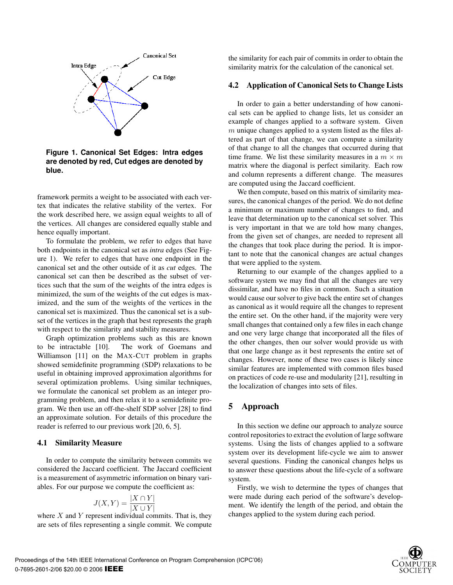

**Figure 1. Canonical Set Edges: Intra edges are denoted by red, Cut edges are denoted by blue.**

framework permits a weight to be associated with each vertex that indicates the relative stability of the vertex. For the work described here, we assign equal weights to all of the vertices. All changes are considered equally stable and hence equally important.

To formulate the problem, we refer to edges that have both endpoints in the canonical set as *intra* edges (See Figure 1). We refer to edges that have one endpoint in the canonical set and the other outside of it as *cut* edges. The canonical set can then be described as the subset of vertices such that the sum of the weights of the intra edges is minimized, the sum of the weights of the cut edges is maximized, and the sum of the weights of the vertices in the canonical set is maximized. Thus the canonical set is a subset of the vertices in the graph that best represents the graph with respect to the similarity and stability measures.

Graph optimization problems such as this are known to be intractable [10]. The work of Goemans and Williamson [11] on the MAX-CUT problem in graphs showed semidefinite programming (SDP) relaxations to be useful in obtaining improved approximation algorithms for several optimization problems. Using similar techniques, we formulate the canonical set problem as an integer programming problem, and then relax it to a semidefinite program. We then use an off-the-shelf SDP solver [28] to find an approximate solution. For details of this procedure the reader is referred to our previous work [20, 6, 5].

#### 4.1 Similarity Measure

In order to compute the similarity between commits we considered the Jaccard coefficient. The Jaccard coefficient is a measurement of asymmetric information on binary variables. For our purpose we compute the coefficient as:

$$
J(X, Y) = \frac{|X \cap Y|}{|X \cup Y|}
$$
  
present individual con

where  $X$  and  $Y$  represent individual commits. That is, they are sets of files representing a single commit. We compute are sets of files representing a single commit. We compute the similarity for each pair of commits in order to obtain the similarity matrix for the calculation of the canonical set.

#### 4.2 Application of Canonical Sets to Change Lists

In order to gain a better understanding of how canonical sets can be applied to change lists, let us consider an example of changes applied to a software system. Given  $m$  unique changes applied to a system listed as the files altered as part of that change, we can compute a similarity of that change to all the changes that occurred during that time frame. We list these similarity measures in a  $m \times m$ matrix where the diagonal is perfect similarity. Each row and column represents a different change. The measures are computed using the Jaccard coefficient.

We then compute, based on this matrix of similarity measures, the canonical changes of the period. We do not define a minimum or maximum number of changes to find, and leave that determination up to the canonical set solver. This is very important in that we are told how many changes, from the given set of changes, are needed to represent all the changes that took place during the period. It is important to note that the canonical changes are actual changes that were applied to the system.

Returning to our example of the changes applied to a software system we may find that all the changes are very dissimilar, and have no files in common. Such a situation would cause our solver to give back the entire set of changes as canonical as it would require all the changes to represent the entire set. On the other hand, if the majority were very small changes that contained only a few files in each change and one very large change that incorporated all the files of the other changes, then our solver would provide us with that one large change as it best represents the entire set of changes. However, none of these two cases is likely since similar features are implemented with common files based on practices of code re-use and modularity [21], resulting in the localization of changes into sets of files.

### 5 Approach

In this section we define our approach to analyze source control repositories to extract the evolution of large software systems. Using the lists of changes applied to a software system over its development life-cycle we aim to answer several questions. Finding the canonical changes helps us to answer these questions about the life-cycle of a software system.

Firstly, we wish to determine the types of changes that were made during each period of the software's development. We identify the length of the period, and obtain the changes applied to the system during each period.

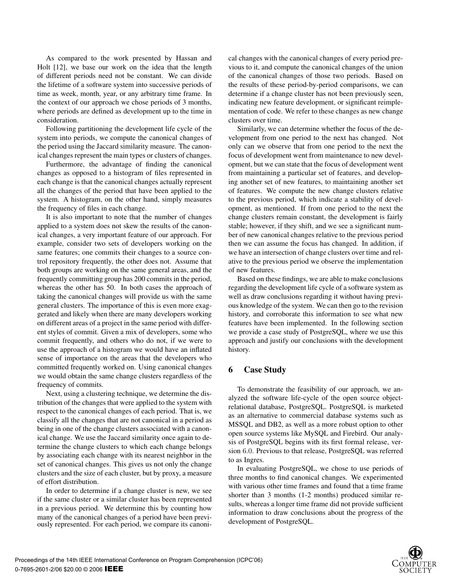As compared to the work presented by Hassan and Holt [12], we base our work on the idea that the length of different periods need not be constant. We can divide the lifetime of a software system into successive periods of time as week, month, year, or any arbitrary time frame. In the context of our approach we chose periods of 3 months, where periods are defined as development up to the time in consideration.

Following partitioning the development life cycle of the system into periods, we compute the canonical changes of the period using the Jaccard similarity measure. The canonical changes represent the main types or clusters of changes.

Furthermore, the advantage of finding the canonical changes as opposed to a histogram of files represented in each change is that the canonical changes actually represent all the changes of the period that have been applied to the system. A histogram, on the other hand, simply measures the frequency of files in each change.

It is also important to note that the number of changes applied to a system does not skew the results of the canonical changes, a very important feature of our approach. For example, consider two sets of developers working on the same features; one commits their changes to a source control repository frequently, the other does not. Assume that both groups are working on the same general areas, and the frequently committing group has 200 commits in the period, whereas the other has 50. In both cases the approach of taking the canonical changes will provide us with the same general clusters. The importance of this is even more exaggerated and likely when there are many developers working on different areas of a project in the same period with different styles of commit. Given a mix of developers, some who commit frequently, and others who do not, if we were to use the approach of a histogram we would have an inflated sense of importance on the areas that the developers who committed frequently worked on. Using canonical changes we would obtain the same change clusters regardless of the frequency of commits.

Next, using a clustering technique, we determine the distribution of the changes that were applied to the system with respect to the canonical changes of each period. That is, we classify all the changes that are not canonical in a period as being in one of the change clusters associated with a canonical change. We use the Jaccard similarity once again to determine the change clusters to which each change belongs by associating each change with its nearest neighbor in the set of canonical changes. This gives us not only the change clusters and the size of each cluster, but by proxy, a measure of effort distribution.

In order to determine if a change cluster is new, we see if the same cluster or a similar cluster has been represented in a previous period. We determine this by counting how many of the canonical changes of a period have been previously represented. For each period, we compare its canonical changes with the canonical changes of every period previous to it, and compute the canonical changes of the union of the canonical changes of those two periods. Based on the results of these period-by-period comparisons, we can determine if a change cluster has not been previously seen, indicating new feature development, or significant reimplementation of code. We refer to these changes as new change clusters over time.

Similarly, we can determine whether the focus of the development from one period to the next has changed. Not only can we observe that from one period to the next the focus of development went from maintenance to new development, but we can state that the focus of development went from maintaining a particular set of features, and developing another set of new features, to maintaining another set of features. We compute the new change clusters relative to the previous period, which indicate a stability of development, as mentioned. If from one period to the next the change clusters remain constant, the development is fairly stable; however, if they shift, and we see a significant number of new canonical changes relative to the previous period then we can assume the focus has changed. In addition, if we have an intersection of change clusters over time and relative to the previous period we observe the implementation of new features.

Based on these findings, we are able to make conclusions regarding the development life cycle of a software system as well as draw conclusions regarding it without having previous knowledge of the system. We can then go to the revision history, and corroborate this information to see what new features have been implemented. In the following section we provide a case study of PostgreSQL, where we use this approach and justify our conclusions with the development history.

# 6 Case Study

To demonstrate the feasibility of our approach, we analyzed the software life-cycle of the open source objectrelational database, PostgreSQL. PostgreSQL is marketed as an alternative to commercial database systems such as MSSQL and DB2, as well as a more robust option to other open source systems like MySQL and Firebird. Our analysis of PostgreSQL begins with its first formal release, version <sup>6</sup>.0. Previous to that release, PostgreSQL was referred to as Ingres.

In evaluating PostgreSQL, we chose to use periods of three months to find canonical changes. We experimented with various other time frames and found that a time frame shorter than 3 months (1-2 months) produced similar results, whereas a longer time frame did not provide sufficient information to draw conclusions about the progress of the development of PostgreSQL.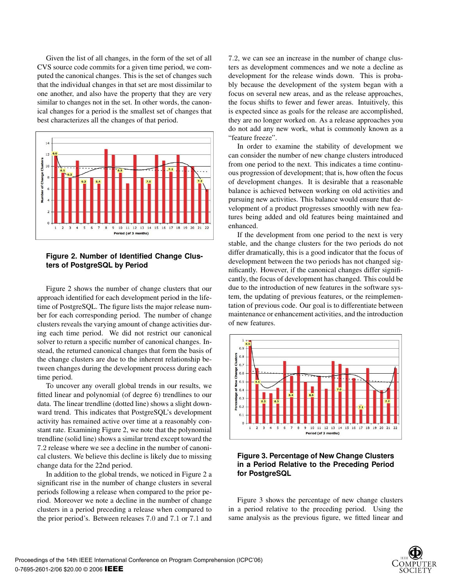Given the list of all changes, in the form of the set of all CVS source code commits for a given time period, we computed the canonical changes. This is the set of changes such that the individual changes in that set are most dissimilar to one another, and also have the property that they are very similar to changes not in the set. In other words, the canonical changes for a period is the smallest set of changes that best characterizes all the changes of that period.



## **Figure 2. Number of Identified Change Clusters of PostgreSQL by Period**

Figure 2 shows the number of change clusters that our approach identified for each development period in the lifetime of PostgreSQL. The figure lists the major release number for each corresponding period. The number of change clusters reveals the varying amount of change activities during each time period. We did not restrict our canonical solver to return a specific number of canonical changes. Instead, the returned canonical changes that form the basis of the change clusters are due to the inherent relationship between changes during the development process during each time period.

To uncover any overall global trends in our results, we fitted linear and polynomial (of degree 6) trendlines to our data. The linear trendline (dotted line) shows a slight downward trend. This indicates that PostgreSQL's development activity has remained active over time at a reasonably constant rate. Examining Figure 2, we note that the polynomial trendline (solid line) shows a similar trend except toward the <sup>7</sup>.<sup>2</sup> release where we see a decline in the number of canonical clusters. We believe this decline is likely due to missing change data for the 22nd period.

In addition to the global trends, we noticed in Figure 2 a significant rise in the number of change clusters in several periods following a release when compared to the prior period. Moreover we note a decline in the number of change clusters in a period preceding a release when compared to the prior period's. Between releases <sup>7</sup>.<sup>0</sup> and <sup>7</sup>.<sup>1</sup> or <sup>7</sup>.<sup>1</sup> and <sup>7</sup>.2, we can see an increase in the number of change clusters as development commences and we note a decline as development for the release winds down. This is probably because the development of the system began with a focus on several new areas, and as the release approaches, the focus shifts to fewer and fewer areas. Intuitively, this is expected since as goals for the release are accomplished, they are no longer worked on. As a release approaches you do not add any new work, what is commonly known as a "feature freeze".

In order to examine the stability of development we can consider the number of new change clusters introduced from one period to the next. This indicates a time continuous progression of development; that is, how often the focus of development changes. It is desirable that a reasonable balance is achieved between working on old activities and pursuing new activities. This balance would ensure that development of a product progresses smoothly with new features being added and old features being maintained and enhanced.

If the development from one period to the next is very stable, and the change clusters for the two periods do not differ dramatically, this is a good indicator that the focus of development between the two periods has not changed significantly. However, if the canonical changes differ significantly, the focus of development has changed. This could be due to the introduction of new features in the software system, the updating of previous features, or the reimplementation of previous code. Our goal is to differentiate between maintenance or enhancement activities, and the introduction of new features.



#### **Figure 3. Percentage of New Change Clusters in a Period Relative to the Preceding Period for PostgreSQL**

Figure 3 shows the percentage of new change clusters in a period relative to the preceding period. Using the same analysis as the previous figure, we fitted linear and

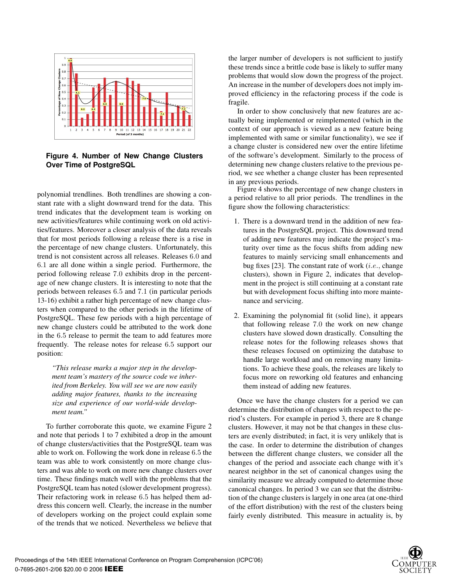

**Figure 4. Number of New Change Clusters Over Time of PostgreSQL**

polynomial trendlines. Both trendlines are showing a constant rate with a slight downward trend for the data. This trend indicates that the development team is working on new activities/features while continuing work on old activities/features. Moreover a closer analysis of the data reveals that for most periods following a release there is a rise in the percentage of new change clusters. Unfortunately, this trend is not consistent across all releases. Releases <sup>6</sup>.<sup>0</sup> and <sup>6</sup>.<sup>1</sup> are all done within a single period. Furthermore, the period following release <sup>7</sup>.<sup>0</sup> exhibits drop in the percentage of new change clusters. It is interesting to note that the periods between releases <sup>6</sup>.<sup>5</sup> and <sup>7</sup>.<sup>1</sup> (in particular periods 13-16) exhibit a rather high percentage of new change clusters when compared to the other periods in the lifetime of PostgreSQL. These few periods with a high percentage of new change clusters could be attributed to the work done in the <sup>6</sup>.<sup>5</sup> release to permit the team to add features more frequently. The release notes for release <sup>6</sup>.<sup>5</sup> support our position:

*"This release marks a major step in the development team's mastery of the source code we inherited from Berkeley. You will see we are now easily adding major features, thanks to the increasing size and experience of our world-wide development team."*

To further corroborate this quote, we examine Figure 2 and note that periods 1 to 7 exhibited a drop in the amount of change clusters/activities that the PostgreSQL team was able to work on. Following the work done in release <sup>6</sup>.<sup>5</sup> the team was able to work consistently on more change clusters and was able to work on more new change clusters over time. These findings match well with the problems that the PostgreSQL team has noted (slower development progress). Their refactoring work in release <sup>6</sup>.<sup>5</sup> has helped them address this concern well. Clearly, the increase in the number of developers working on the project could explain some of the trends that we noticed. Nevertheless we believe that

the larger number of developers is not sufficient to justify these trends since a brittle code base is likely to suffer many problems that would slow down the progress of the project. An increase in the number of developers does not imply improved efficiency in the refactoring process if the code is fragile.

In order to show conclusively that new features are actually being implemented or reimplemented (which in the context of our approach is viewed as a new feature being implemented with same or similar functionality), we see if a change cluster is considered new over the entire lifetime of the software's development. Similarly to the process of determining new change clusters relative to the previous period, we see whether a change cluster has been represented in any previous periods.

Figure 4 shows the percentage of new change clusters in a period relative to all prior periods. The trendlines in the figure show the following characteristics:

- 1. There is a downward trend in the addition of new features in the PostgreSQL project. This downward trend of adding new features may indicate the project's maturity over time as the focus shifts from adding new features to mainly servicing small enhancements and bug fixes [23]. The constant rate of work  $(i.e., change)$ clusters), shown in Figure 2, indicates that development in the project is still continuing at a constant rate but with development focus shifting into more maintenance and servicing.
- 2. Examining the polynomial fit (solid line), it appears that following release <sup>7</sup>.<sup>0</sup> the work on new change clusters have slowed down drastically. Consulting the release notes for the following releases shows that these releases focused on optimizing the database to handle large workload and on removing many limitations. To achieve these goals, the releases are likely to focus more on reworking old features and enhancing them instead of adding new features.

Once we have the change clusters for a period we can determine the distribution of changes with respect to the period's clusters. For example in period 3, there are 8 change clusters. However, it may not be that changes in these clusters are evenly distributed; in fact, it is very unlikely that is the case. In order to determine the distribution of changes between the different change clusters, we consider all the changes of the period and associate each change with it's nearest neighbor in the set of canonical changes using the similarity measure we already computed to determine those canonical changes. In period 3 we can see that the distribution of the change clusters is largely in one area (at one-third of the effort distribution) with the rest of the clusters being fairly evenly distributed. This measure in actuality is, by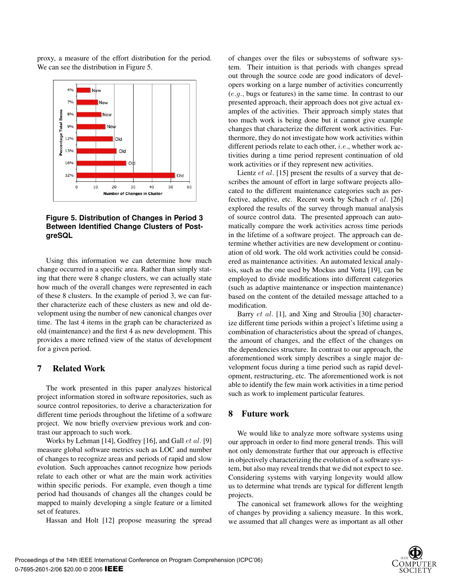proxy, a measure of the effort distribution for the period. We can see the distribution in Figure 5.



**Figure 5. Distribution of Changes in Period 3 Between Identified Change Clusters of PostgreSQL**

Using this information we can determine how much change occurred in a specific area. Rather than simply stating that there were 8 change clusters, we can actually state how much of the overall changes were represented in each of these 8 clusters. In the example of period 3, we can further characterize each of these clusters as new and old development using the number of new canonical changes over time. The last 4 items in the graph can be characterized as old (maintenance) and the first 4 as new development. This provides a more refined view of the status of development for a given period.

#### 7 Related Work

The work presented in this paper analyzes historical project information stored in software repositories, such as source control repositories, to derive a characterization for different time periods throughout the lifetime of a software project. We now briefly overview previous work and contrast our approach to such work.

Works by Lehman [14], Godfrey [16], and Gall  $et$  al. [9] measure global software metrics such as LOC and number of changes to recognize areas and periods of rapid and slow evolution. Such approaches cannot recognize how periods relate to each other or what are the main work activities within specific periods. For example, even though a time period had thousands of changes all the changes could be mapped to mainly developing a single feature or a limited set of features.

Hassan and Holt [12] propose measuring the spread

of changes over the files or subsystems of software system. Their intuition is that periods with changes spread out through the source code are good indicators of developers working on a large number of activities concurrently (e.g., bugs or features) in the same time. In contrast to our presented approach, their approach does not give actual examples of the activities. Their approach simply states that too much work is being done but it cannot give example changes that characterize the different work activities. Furthermore, they do not investigate how work activities within different periods relate to each other, *i.e.*, whether work activities during a time period represent continuation of old work activities or if they represent new activities.

Lientz *et al.* [15] present the results of a survey that describes the amount of effort in large software projects allocated to the different maintenance categories such as perfective, adaptive, etc. Recent work by Schach et al. [26] explored the results of the survey through manual analysis of source control data. The presented approach can automatically compare the work activities across time periods in the lifetime of a software project. The approach can determine whether activities are new development or continuation of old work. The old work activities could be considered as maintenance activities. An automated lexical analysis, such as the one used by Mockus and Votta [19], can be employed to divide modifications into different categories (such as adaptive maintenance or inspection maintenance) based on the content of the detailed message attached to a modification.

Barry *et al.* [1], and Xing and Stroulia [30] characterize different time periods within a project's lifetime using a combination of characteristics about the spread of changes, the amount of changes, and the effect of the changes on the dependencies structure. In contrast to our approach, the aforementioned work simply describes a single major development focus during a time period such as rapid development, restructuring, etc. The aforementioned work is not able to identify the few main work activities in a time period such as work to implement particular features.

# 8 Future work

We would like to analyze more software systems using our approach in order to find more general trends. This will not only demonstrate further that our approach is effective in objectively characterizing the evolution of a software system, but also may reveal trends that we did not expect to see. Considering systems with varying longevity would allow us to determine what trends are typical for different length projects.

The canonical set framework allows for the weighting of changes by providing a saliency measure. In this work, we assumed that all changes were as important as all other

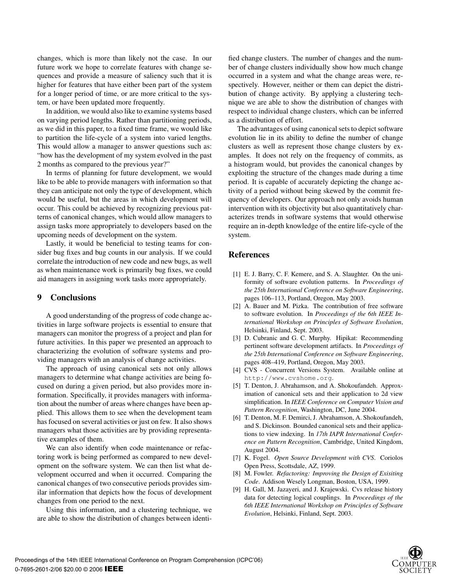changes, which is more than likely not the case. In our future work we hope to correlate features with change sequences and provide a measure of saliency such that it is higher for features that have either been part of the system for a longer period of time, or are more critical to the system, or have been updated more frequently.

In addition, we would also like to examine systems based on varying period lengths. Rather than partitioning periods, as we did in this paper, to a fixed time frame, we would like to partition the life-cycle of a system into varied lengths. This would allow a manager to answer questions such as: "how has the development of my system evolved in the past 2 months as compared to the previous year?"

In terms of planning for future development, we would like to be able to provide managers with information so that they can anticipate not only the type of development, which would be useful, but the areas in which development will occur. This could be achieved by recognizing previous patterns of canonical changes, which would allow managers to assign tasks more appropriately to developers based on the upcoming needs of development on the system.

Lastly, it would be beneficial to testing teams for consider bug fixes and bug counts in our analysis. If we could correlate the introduction of new code and new bugs, as well as when maintenance work is primarily bug fixes, we could aid managers in assigning work tasks more appropriately.

#### 9 Conclusions

A good understanding of the progress of code change activities in large software projects is essential to ensure that managers can monitor the progress of a project and plan for future activities. In this paper we presented an approach to characterizing the evolution of software systems and providing managers with an analysis of change activities.

The approach of using canonical sets not only allows managers to determine what change activities are being focused on during a given period, but also provides more information. Specifically, it provides managers with information about the number of areas where changes have been applied. This allows them to see when the development team has focused on several activities or just on few. It also shows managers what those activities are by providing representative examples of them.

We can also identify when code maintenance or refactoring work is being performed as compared to new development on the software system. We can then list what development occurred and when it occurred. Comparing the canonical changes of two consecutive periods provides similar information that depicts how the focus of development changes from one period to the next.

Using this information, and a clustering technique, we are able to show the distribution of changes between identified change clusters. The number of changes and the number of change clusters individually show how much change occurred in a system and what the change areas were, respectively. However, neither or them can depict the distribution of change activity. By applying a clustering technique we are able to show the distribution of changes with respect to individual change clusters, which can be inferred as a distribution of effort.

The advantages of using canonical sets to depict software evolution lie in its ability to define the number of change clusters as well as represent those change clusters by examples. It does not rely on the frequency of commits, as a histogram would, but provides the canonical changes by exploiting the structure of the changes made during a time period. It is capable of accurately depicting the change activity of a period without being skewed by the commit frequency of developers. Our approach not only avoids human intervention with its objectivity but also quantitatively characterizes trends in software systems that would otherwise require an in-depth knowledge of the entire life-cycle of the system.

#### References

- [1] E. J. Barry, C. F. Kemere, and S. A. Slaughter. On the uniformity of software evolution patterns. In *Proceedings of the 25th International Conference on Software Engineering*, pages 106–113, Portland, Oregon, May 2003.
- [2] A. Bauer and M. Pizka. The contribution of free software to software evolution. In *Proceedings of the 6th IEEE International Workshop on Principles of Software Evolution*, Helsinki, Finland, Sept. 2003.
- [3] D. Cubranic and G. C. Murphy. Hipikat: Recommending pertinent software development artifacts. In *Proceedings of the 25th International Conference on Software Engineering*, pages 408–419, Portland, Oregon, May 2003.
- [4] CVS Concurrent Versions System. Available online at http://www.cvshome.org.
- [5] T. Denton, J. Abrahamson, and A. Shokoufandeh. Approximation of canonical sets and their application to 2d view simplification. In *IEEE Conference on Computer Vision and Pattern Recognition*, Washington, DC, June 2004.
- [6] T. Denton, M. F. Demirci, J. Abrahamson, A. Shokoufandeh, and S. Dickinson. Bounded canonical sets and their applications to view indexing. In *17th IAPR International Conference on Pattern Recognition*, Cambridge, United Kingdom, August 2004.
- [7] K. Fogel. *Open Source Development with CVS*. Coriolos Open Press, Scottsdale, AZ, 1999.
- [8] M. Fowler. *Refactoring: Improving the Design of Exisiting Code*. Addison Wesely Longman, Boston, USA, 1999.
- [9] H. Gall, M. Jazayeri, and J. Krajewski. Cvs release history data for detecting logical couplings. In *Proceedings of the 6th IEEE International Workshop on Principles of Software Evolution*, Helsinki, Finland, Sept. 2003.